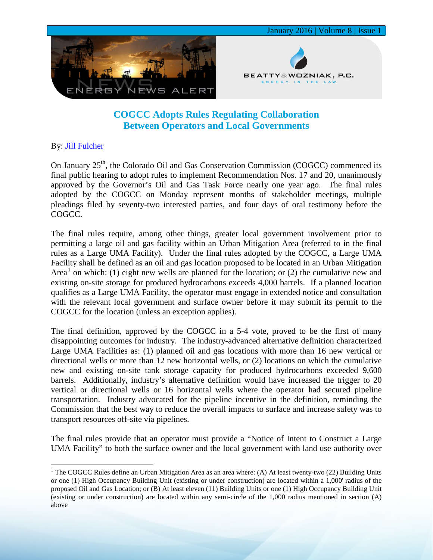

## **COGCC Adopts Rules Regulating Collaboration Between Operators and Local Governments**

## By: [Jill Fulcher](http://www.bwenergylaw.com/#!jill-fulcher/cf4t)

On January 25<sup>th</sup>, the Colorado Oil and Gas Conservation Commission (COGCC) commenced its final public hearing to adopt rules to implement Recommendation Nos. 17 and 20, unanimously approved by the Governor's Oil and Gas Task Force nearly one year ago. The final rules adopted by the COGCC on Monday represent months of stakeholder meetings, multiple pleadings filed by seventy-two interested parties, and four days of oral testimony before the COGCC.

The final rules require, among other things, greater local government involvement prior to permitting a large oil and gas facility within an Urban Mitigation Area (referred to in the final rules as a Large UMA Facility). Under the final rules adopted by the COGCC, a Large UMA Facility shall be defined as an oil and gas location proposed to be located in an Urban Mitigation Area<sup>[1](#page-0-0)</sup> on which: (1) eight new wells are planned for the location; or (2) the cumulative new and existing on-site storage for produced hydrocarbons exceeds 4,000 barrels. If a planned location qualifies as a Large UMA Facility, the operator must engage in extended notice and consultation with the relevant local government and surface owner before it may submit its permit to the COGCC for the location (unless an exception applies).

The final definition, approved by the COGCC in a 5-4 vote, proved to be the first of many disappointing outcomes for industry. The industry-advanced alternative definition characterized Large UMA Facilities as: (1) planned oil and gas locations with more than 16 new vertical or directional wells or more than 12 new horizontal wells, or (2) locations on which the cumulative new and existing on-site tank storage capacity for produced hydrocarbons exceeded 9,600 barrels. Additionally, industry's alternative definition would have increased the trigger to 20 vertical or directional wells or 16 horizontal wells where the operator had secured pipeline transportation. Industry advocated for the pipeline incentive in the definition, reminding the Commission that the best way to reduce the overall impacts to surface and increase safety was to transport resources off-site via pipelines.

The final rules provide that an operator must provide a "Notice of Intent to Construct a Large UMA Facility" to both the surface owner and the local government with land use authority over

<span id="page-0-0"></span><sup>&</sup>lt;sup>1</sup> The COGCC Rules define an Urban Mitigation Area as an area where: (A) At least twenty-two (22) Building Units or one (1) High Occupancy Building Unit (existing or under construction) are located within a 1,000' radius of the proposed Oil and Gas Location; or (B) At least eleven (11) Building Units or one (1) High Occupancy Building Unit (existing or under construction) are located within any semi-circle of the 1,000 radius mentioned in section (A) above